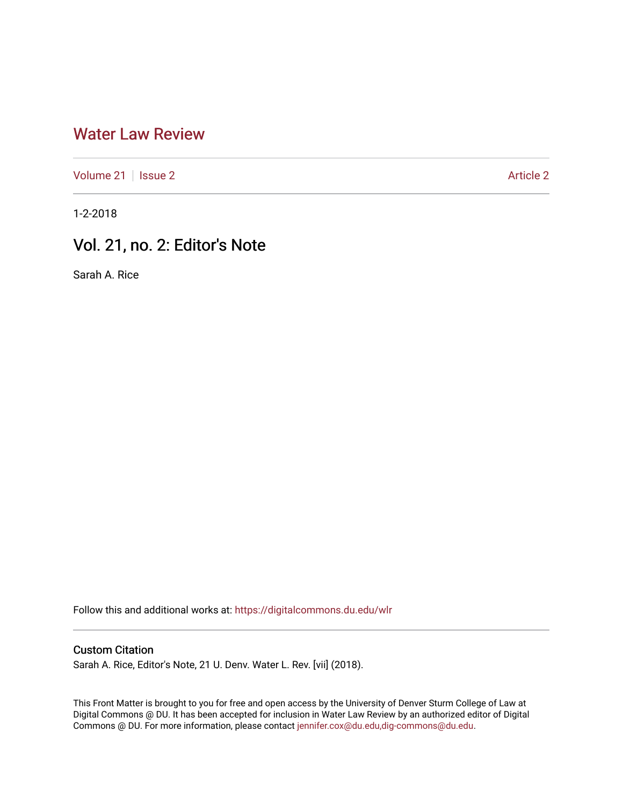## [Water Law Review](https://digitalcommons.du.edu/wlr)

[Volume 21](https://digitalcommons.du.edu/wlr/vol21) | [Issue 2](https://digitalcommons.du.edu/wlr/vol21/iss2) [Article 2](https://digitalcommons.du.edu/wlr/vol21/iss2/2) Article 2 Article 2 Article 2 Article 2

1-2-2018

## Vol. 21, no. 2: Editor's Note

Sarah A. Rice

Follow this and additional works at: [https://digitalcommons.du.edu/wlr](https://digitalcommons.du.edu/wlr?utm_source=digitalcommons.du.edu%2Fwlr%2Fvol21%2Fiss2%2F2&utm_medium=PDF&utm_campaign=PDFCoverPages) 

## Custom Citation

Sarah A. Rice, Editor's Note, 21 U. Denv. Water L. Rev. [vii] (2018).

This Front Matter is brought to you for free and open access by the University of Denver Sturm College of Law at Digital Commons @ DU. It has been accepted for inclusion in Water Law Review by an authorized editor of Digital Commons @ DU. For more information, please contact [jennifer.cox@du.edu,dig-commons@du.edu.](mailto:jennifer.cox@du.edu,dig-commons@du.edu)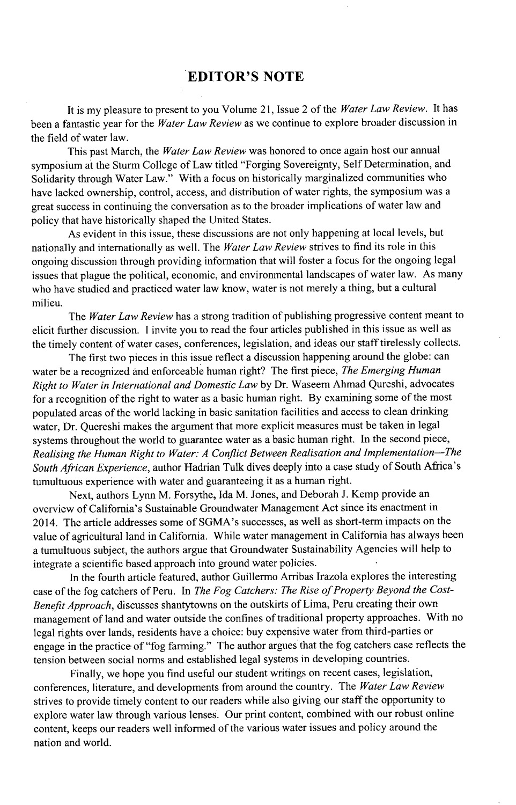## **EDITOR'S NOTE**

It is my pleasure to present to you Volume **21,** Issue 2 of the *Water Law Review.* It has been a fantastic year for the *Water Law Review* as we continue to explore broader discussion in the field of water law.

This past March, the *Water Law Review* was honored to once again host our annual symposium at the Sturm College of Law titled "Forging Sovereignty, Self Determination, and Solidarity through Water Law." With a focus on historically marginalized communities who have lacked ownership, control, access, and distribution of water rights, the symposium was a great success in continuing the conversation as to the broader implications of water law and policy that have historically shaped the United States.

As evident in this issue, these discussions are not only happening at local levels, but nationally and internationally as well. The *Water Law Review* strives to find its role in this ongoing discussion through providing information that will foster a focus for the ongoing legal issues that plague the political, economic, and environmental landscapes of water law. As many who have studied and practiced water law know, water is not merely a thing, but a cultural milieu.

The *Water Law Review* has a strong tradition of publishing progressive content meant to elicit further discussion. **I** invite you to read the four articles published in this issue as well as the timely content of water cases, conferences, legislation, and ideas our staff tirelessly collects.

The first two pieces in this issue reflect a discussion happening around the globe: can water be a recognized and enforceable human right? The first piece, *The Emerging Human Right to Water in International and Domestic Law* **by** Dr. Waseem Ahmad Qureshi, advocates for a recognition of the right to water as a basic human right. **By** examining some of the most populated areas of the world lacking in basic sanitation facilities and access to clean drinking water, Dr. Quereshi makes the argument that more explicit measures must be taken in legal systems throughout the world to guarantee water as a basic human right. In the second piece, *Realising the Human Right to Water: A Conflict Between Realisation and Implementation-The South African Experience,* author Hadrian Tulk dives deeply into a case study of South Africa's tumultuous experience with water and guaranteeing it as a human right.

Next, authors Lynn M. Forsythe, Ida M. Jones, and Deborah **J.** Kemp provide an overview of California's Sustainable Groundwater Management Act since its enactment in 2014. The article addresses some of SGMA's successes, as well as short-term impacts on the value of agricultural land in California. While water management in California has always been a tumultuous subject, the authors argue that Groundwater Sustainability Agencies will help to integrate a scientific based approach into ground water policies.

In the fourth article featured, author Guillermo Arribas Irazola explores the interesting case of the fog catchers of Peru. In *The Fog Catchers: The Rise of Property Beyond the Cost-Benefit Approach,* discusses shantytowns on the outskirts of Lima, Peru creating their own management of land and water outside the confines of traditional property approaches. With no legal rights over lands, residents have a choice: buy expensive water from third-parties or engage in the practice of "fog farming." The author argues that the fog catchers case reflects the tension between social norms and established legal systems in developing countries.

Finally, we hope you find useful our student writings on recent cases, legislation, conferences, literature, and developments from around the country. The *Water Law Review* strives to provide timely content to our readers while also giving our staff the opportunity to explore water law through various lenses. Our print content, combined with our robust online content, keeps our readers well informed of the various water issues and policy around the nation and world.